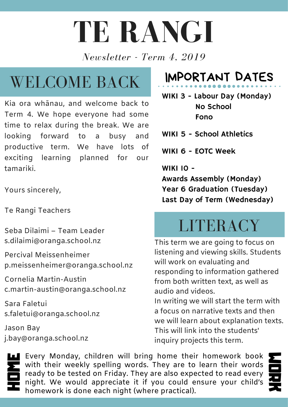# **TE RANGI**

*Newsletter - Term 4, 2019*

### WELCOME BACK

Kia ora whānau, and welcome back to Term 4. We hope everyone had some time to relax during the break. We are looking forward to a busy and productive term. We have lots of exciting learning planned for our tamariki.

Yours sincerely,

Te Rangi Teachers

Seba Dilaimi – Team Leader s.dilaimi@oranga.school.nz

Percival Meissenheimer p.meissenheimer@oranga.school.nz

Cornelia Martin-Austin c.martin-austin@oranga.school.nz

Sara Faletui s.faletui@oranga.school.nz

Jason Bay j.bay@oranga.school.nz

#### IMPORTANT DATES

WIKI 3 - Labour Day (Monday) No School Fono

WIKI 5 - School Athletics

WIKI 6 - EOTC Week

**WIKI 10 -**

Awards Assembly (Monday) Year 6 Graduation (Tuesday) Last Day of Term (Wednesday)

#### **LITERACY**

This term we are going to focus on listening and viewing skills. Students will work on evaluating and responding to information gathered from both written text, as well as audio and videos.

In writing we will start the term with a focus on narrative texts and then we will learn about explanation texts. This will link into the students' inquiry projects this term.

H homework is done each night (where practical).O night. We would appreciate it if you could ensure your child's  $\sum_{i=1}^{n}$  ready to be tested on Friday. They are also expected to read every E with their weekly spelling words. They are to learn their words **E** O **T K** Every Monday, children will bring home their homework book